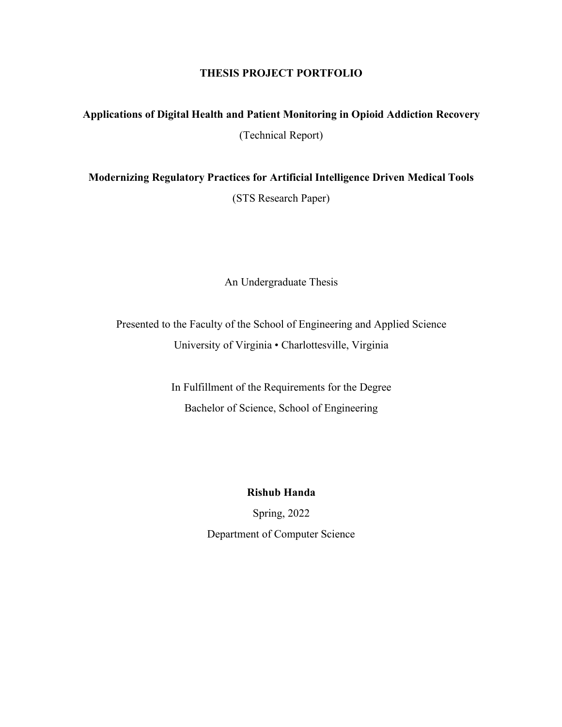## **THESIS PROJECT PORTFOLIO**

## **Applications of Digital Health and Patient Monitoring in Opioid Addiction Recovery** (Technical Report)

**Modernizing Regulatory Practices for Artificial Intelligence Driven Medical Tools**  (STS Research Paper)

An Undergraduate Thesis

Presented to the Faculty of the School of Engineering and Applied Science University of Virginia • Charlottesville, Virginia

> In Fulfillment of the Requirements for the Degree Bachelor of Science, School of Engineering

> > **Rishub Handa**

Spring, 2022 Department of Computer Science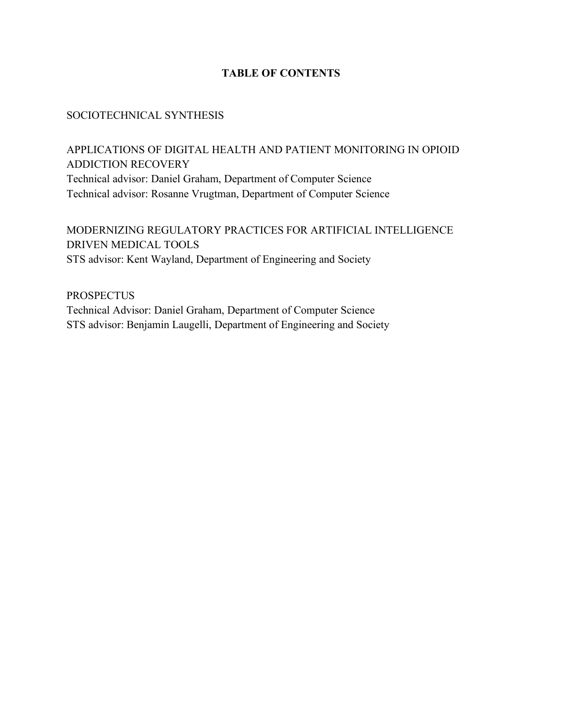## **TABLE OF CONTENTS**

## SOCIOTECHNICAL SYNTHESIS

APPLICATIONS OF DIGITAL HEALTH AND PATIENT MONITORING IN OPIOID ADDICTION RECOVERY Technical advisor: Daniel Graham, Department of Computer Science Technical advisor: Rosanne Vrugtman, Department of Computer Science

MODERNIZING REGULATORY PRACTICES FOR ARTIFICIAL INTELLIGENCE DRIVEN MEDICAL TOOLS STS advisor: Kent Wayland, Department of Engineering and Society

**PROSPECTUS** Technical Advisor: Daniel Graham, Department of Computer Science STS advisor: Benjamin Laugelli, Department of Engineering and Society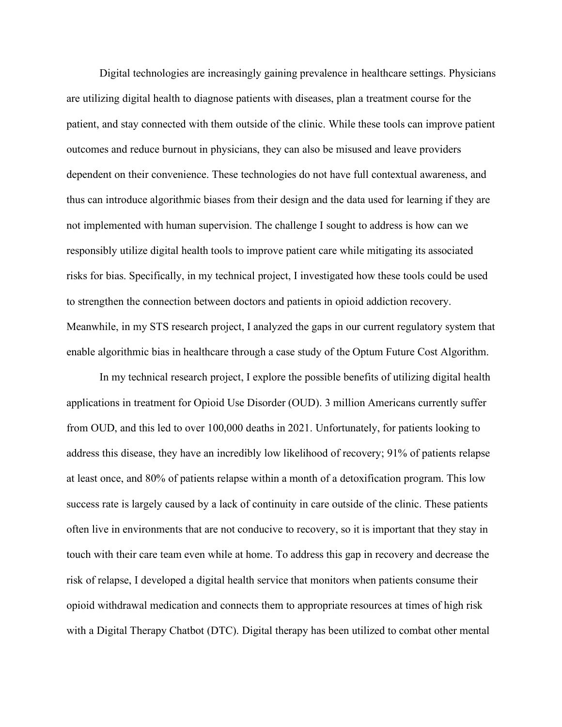Digital technologies are increasingly gaining prevalence in healthcare settings. Physicians are utilizing digital health to diagnose patients with diseases, plan a treatment course for the patient, and stay connected with them outside of the clinic. While these tools can improve patient outcomes and reduce burnout in physicians, they can also be misused and leave providers dependent on their convenience. These technologies do not have full contextual awareness, and thus can introduce algorithmic biases from their design and the data used for learning if they are not implemented with human supervision. The challenge I sought to address is how can we responsibly utilize digital health tools to improve patient care while mitigating its associated risks for bias. Specifically, in my technical project, I investigated how these tools could be used to strengthen the connection between doctors and patients in opioid addiction recovery. Meanwhile, in my STS research project, I analyzed the gaps in our current regulatory system that enable algorithmic bias in healthcare through a case study of the Optum Future Cost Algorithm.

In my technical research project, I explore the possible benefits of utilizing digital health applications in treatment for Opioid Use Disorder (OUD). 3 million Americans currently suffer from OUD, and this led to over 100,000 deaths in 2021. Unfortunately, for patients looking to address this disease, they have an incredibly low likelihood of recovery; 91% of patients relapse at least once, and 80% of patients relapse within a month of a detoxification program. This low success rate is largely caused by a lack of continuity in care outside of the clinic. These patients often live in environments that are not conducive to recovery, so it is important that they stay in touch with their care team even while at home. To address this gap in recovery and decrease the risk of relapse, I developed a digital health service that monitors when patients consume their opioid withdrawal medication and connects them to appropriate resources at times of high risk with a Digital Therapy Chatbot (DTC). Digital therapy has been utilized to combat other mental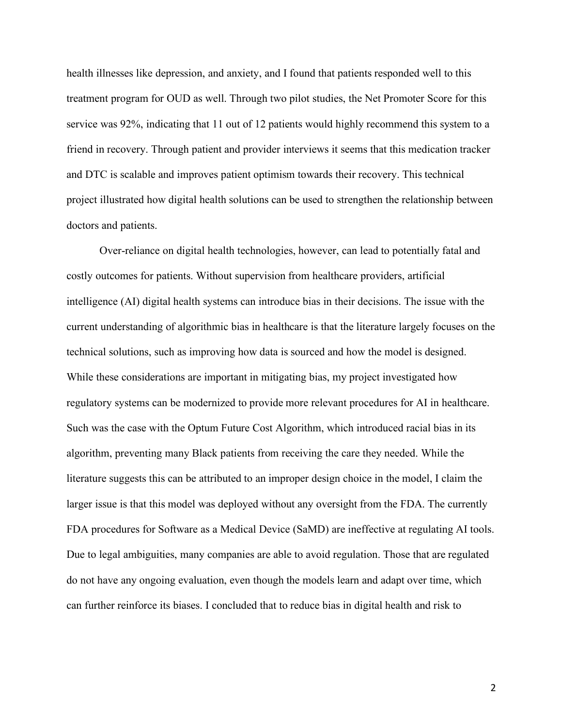health illnesses like depression, and anxiety, and I found that patients responded well to this treatment program for OUD as well. Through two pilot studies, the Net Promoter Score for this service was 92%, indicating that 11 out of 12 patients would highly recommend this system to a friend in recovery. Through patient and provider interviews it seems that this medication tracker and DTC is scalable and improves patient optimism towards their recovery. This technical project illustrated how digital health solutions can be used to strengthen the relationship between doctors and patients.

Over-reliance on digital health technologies, however, can lead to potentially fatal and costly outcomes for patients. Without supervision from healthcare providers, artificial intelligence (AI) digital health systems can introduce bias in their decisions. The issue with the current understanding of algorithmic bias in healthcare is that the literature largely focuses on the technical solutions, such as improving how data is sourced and how the model is designed. While these considerations are important in mitigating bias, my project investigated how regulatory systems can be modernized to provide more relevant procedures for AI in healthcare. Such was the case with the Optum Future Cost Algorithm, which introduced racial bias in its algorithm, preventing many Black patients from receiving the care they needed. While the literature suggests this can be attributed to an improper design choice in the model, I claim the larger issue is that this model was deployed without any oversight from the FDA. The currently FDA procedures for Software as a Medical Device (SaMD) are ineffective at regulating AI tools. Due to legal ambiguities, many companies are able to avoid regulation. Those that are regulated do not have any ongoing evaluation, even though the models learn and adapt over time, which can further reinforce its biases. I concluded that to reduce bias in digital health and risk to